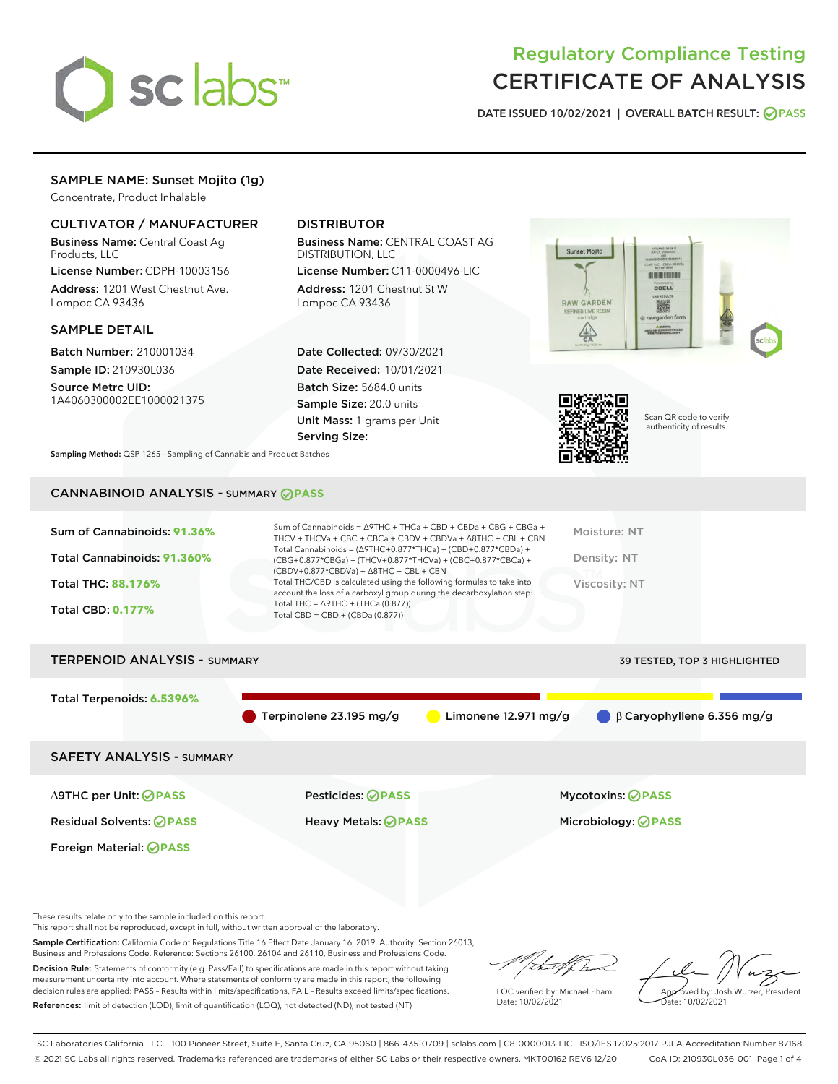

# Regulatory Compliance Testing CERTIFICATE OF ANALYSIS

DATE ISSUED 10/02/2021 | OVERALL BATCH RESULT: @ PASS

# SAMPLE NAME: Sunset Mojito (1g)

Concentrate, Product Inhalable

## CULTIVATOR / MANUFACTURER

Business Name: Central Coast Ag Products, LLC

License Number: CDPH-10003156 Address: 1201 West Chestnut Ave. Lompoc CA 93436

## SAMPLE DETAIL

Batch Number: 210001034 Sample ID: 210930L036

Source Metrc UID: 1A4060300002EE1000021375

# DISTRIBUTOR

Business Name: CENTRAL COAST AG DISTRIBUTION, LLC

License Number: C11-0000496-LIC Address: 1201 Chestnut St W Lompoc CA 93436

Date Collected: 09/30/2021 Date Received: 10/01/2021 Batch Size: 5684.0 units Sample Size: 20.0 units Unit Mass: 1 grams per Unit Serving Size:





Scan QR code to verify authenticity of results.

Sampling Method: QSP 1265 - Sampling of Cannabis and Product Batches

# CANNABINOID ANALYSIS - SUMMARY **PASS**

| Sum of Cannabinoids: 91.36%         | Sum of Cannabinoids = $\triangle$ 9THC + THCa + CBD + CBDa + CBG + CBGa +<br>THCV + THCVa + CBC + CBCa + CBDV + CBDVa + $\land$ 8THC + CBL + CBN                                     |                        | Moisture: NT                                |  |
|-------------------------------------|--------------------------------------------------------------------------------------------------------------------------------------------------------------------------------------|------------------------|---------------------------------------------|--|
| Total Cannabinoids: 91.360%         | Total Cannabinoids = $(\Delta$ 9THC+0.877*THCa) + (CBD+0.877*CBDa) +<br>(CBG+0.877*CBGa) + (THCV+0.877*THCVa) + (CBC+0.877*CBCa) +<br>$(CBDV+0.877*CBDVa) + \Delta 8THC + CBL + CBN$ |                        | Density: NT                                 |  |
| Total THC: 88.176%                  | Total THC/CBD is calculated using the following formulas to take into<br>account the loss of a carboxyl group during the decarboxylation step:                                       |                        | <b>Viscosity: NT</b>                        |  |
| <b>Total CBD: 0.177%</b>            | Total THC = $\triangle$ 9THC + (THCa (0.877))<br>Total CBD = CBD + (CBDa (0.877))                                                                                                    |                        |                                             |  |
|                                     |                                                                                                                                                                                      |                        |                                             |  |
| <b>TERPENOID ANALYSIS - SUMMARY</b> |                                                                                                                                                                                      |                        | 39 TESTED, TOP 3 HIGHLIGHTED                |  |
|                                     |                                                                                                                                                                                      |                        |                                             |  |
| Total Terpenoids: 6.5396%           |                                                                                                                                                                                      |                        |                                             |  |
|                                     | Terpinolene 23.195 mg/g                                                                                                                                                              | Limonene $12.971$ mg/g | $\bigcirc$ $\beta$ Caryophyllene 6.356 mg/g |  |
| <b>SAFETY ANALYSIS - SUMMARY</b>    |                                                                                                                                                                                      |                        |                                             |  |
|                                     |                                                                                                                                                                                      |                        |                                             |  |
| ∆9THC per Unit: ⊘PASS               | Pesticides: ⊘PASS                                                                                                                                                                    |                        | <b>Mycotoxins: ⊘PASS</b>                    |  |

Residual Solvents: **PASS** Heavy Metals: **PASS** Microbiology: **PASS** Foreign Material: **PASS**

These results relate only to the sample included on this report.

This report shall not be reproduced, except in full, without written approval of the laboratory.

Sample Certification: California Code of Regulations Title 16 Effect Date January 16, 2019. Authority: Section 26013, Business and Professions Code. Reference: Sections 26100, 26104 and 26110, Business and Professions Code. Decision Rule: Statements of conformity (e.g. Pass/Fail) to specifications are made in this report without taking

measurement uncertainty into account. Where statements of conformity are made in this report, the following decision rules are applied: PASS – Results within limits/specifications, FAIL – Results exceed limits/specifications. References: limit of detection (LOD), limit of quantification (LOQ), not detected (ND), not tested (NT)

that f ha

LQC verified by: Michael Pham Date: 10/02/2021

Approved by: Josh Wurzer, President Date: 10/02/2021

SC Laboratories California LLC. | 100 Pioneer Street, Suite E, Santa Cruz, CA 95060 | 866-435-0709 | sclabs.com | C8-0000013-LIC | ISO/IES 17025:2017 PJLA Accreditation Number 87168 © 2021 SC Labs all rights reserved. Trademarks referenced are trademarks of either SC Labs or their respective owners. MKT00162 REV6 12/20 CoA ID: 210930L036-001 Page 1 of 4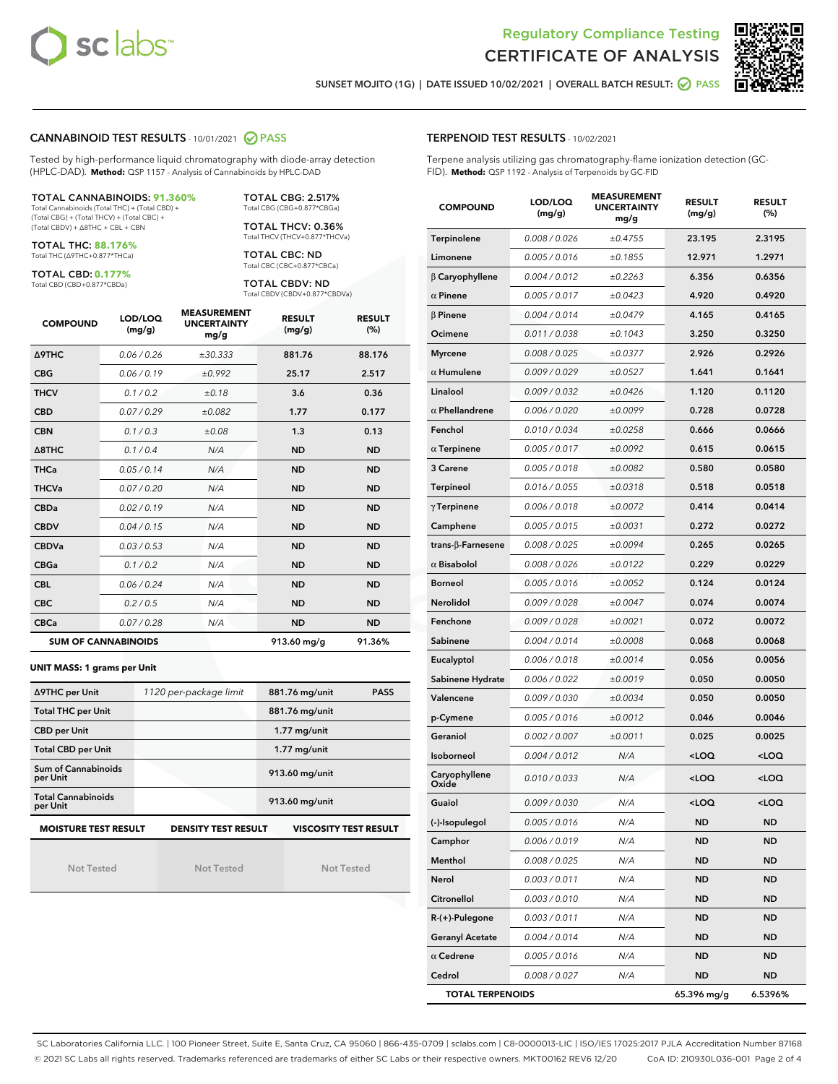



SUNSET MOJITO (1G) | DATE ISSUED 10/02/2021 | OVERALL BATCH RESULT: @ PASS

## CANNABINOID TEST RESULTS - 10/01/2021 2 PASS

Tested by high-performance liquid chromatography with diode-array detection (HPLC-DAD). **Method:** QSP 1157 - Analysis of Cannabinoids by HPLC-DAD

#### TOTAL CANNABINOIDS: **91.360%**

Total Cannabinoids (Total THC) + (Total CBD) + (Total CBG) + (Total THCV) + (Total CBC) + (Total CBDV) + ∆8THC + CBL + CBN

TOTAL THC: **88.176%** Total THC (∆9THC+0.877\*THCa)

TOTAL CBD: **0.177%**

Total CBD (CBD+0.877\*CBDa)

TOTAL CBG: 2.517% Total CBG (CBG+0.877\*CBGa)

TOTAL THCV: 0.36% Total THCV (THCV+0.877\*THCVa)

TOTAL CBC: ND Total CBC (CBC+0.877\*CBCa)

TOTAL CBDV: ND Total CBDV (CBDV+0.877\*CBDVa)

| <b>COMPOUND</b>            | LOD/LOQ<br>(mg/g) | <b>MEASUREMENT</b><br><b>UNCERTAINTY</b><br>mg/g | <b>RESULT</b><br>(mg/g) | <b>RESULT</b><br>(%) |
|----------------------------|-------------------|--------------------------------------------------|-------------------------|----------------------|
| <b>A9THC</b>               | 0.06 / 0.26       | ±30.333                                          | 881.76                  | 88.176               |
| <b>CBG</b>                 | 0.06/0.19         | ±0.992                                           | 25.17                   | 2.517                |
| <b>THCV</b>                | 0.1/0.2           | ±0.18                                            | 3.6                     | 0.36                 |
| <b>CBD</b>                 | 0.07/0.29         | ±0.082                                           | 1.77                    | 0.177                |
| <b>CBN</b>                 | 0.1/0.3           | ±0.08                                            | 1.3                     | 0.13                 |
| $\triangle$ 8THC           | 0.1/0.4           | N/A                                              | <b>ND</b>               | <b>ND</b>            |
| <b>THCa</b>                | 0.05/0.14         | N/A                                              | <b>ND</b>               | <b>ND</b>            |
| <b>THCVa</b>               | 0.07/0.20         | N/A                                              | <b>ND</b>               | <b>ND</b>            |
| <b>CBDa</b>                | 0.02 / 0.19       | N/A                                              | <b>ND</b>               | <b>ND</b>            |
| <b>CBDV</b>                | 0.04/0.15         | N/A                                              | <b>ND</b>               | <b>ND</b>            |
| <b>CBDVa</b>               | 0.03/0.53         | N/A                                              | <b>ND</b>               | <b>ND</b>            |
| <b>CBGa</b>                | 0.1 / 0.2         | N/A                                              | <b>ND</b>               | <b>ND</b>            |
| <b>CBL</b>                 | 0.06 / 0.24       | N/A                                              | <b>ND</b>               | <b>ND</b>            |
| <b>CBC</b>                 | 0.2 / 0.5         | N/A                                              | <b>ND</b>               | <b>ND</b>            |
| <b>CBCa</b>                | 0.07/0.28         | N/A                                              | <b>ND</b>               | <b>ND</b>            |
| <b>SUM OF CANNABINOIDS</b> |                   |                                                  | 913.60 mg/g             | 91.36%               |

**UNIT MASS: 1 grams per Unit**

| ∆9THC per Unit                                                                            | 1120 per-package limit | 881.76 mg/unit<br><b>PASS</b> |  |  |  |
|-------------------------------------------------------------------------------------------|------------------------|-------------------------------|--|--|--|
| <b>Total THC per Unit</b>                                                                 |                        | 881.76 mg/unit                |  |  |  |
| <b>CBD per Unit</b>                                                                       |                        | $1.77$ mg/unit                |  |  |  |
| <b>Total CBD per Unit</b>                                                                 |                        | $1.77$ mg/unit                |  |  |  |
| Sum of Cannabinoids<br>per Unit                                                           |                        | 913.60 mg/unit                |  |  |  |
| <b>Total Cannabinoids</b><br>per Unit                                                     |                        | 913.60 mg/unit                |  |  |  |
| <b>MOISTURE TEST RESULT</b><br><b>DENSITY TEST RESULT</b><br><b>VISCOSITY TEST RESULT</b> |                        |                               |  |  |  |

Not Tested

Not Tested

Not Tested

## TERPENOID TEST RESULTS - 10/02/2021

Terpene analysis utilizing gas chromatography-flame ionization detection (GC-FID). **Method:** QSP 1192 - Analysis of Terpenoids by GC-FID

| <b>COMPOUND</b>           | LOD/LOQ<br>(mg/g) | <b>MEASUREMENT</b><br><b>UNCERTAINTY</b><br>mg/g | <b>RESULT</b><br><b>RESULT</b><br>(%)<br>(mg/g) |                     |
|---------------------------|-------------------|--------------------------------------------------|-------------------------------------------------|---------------------|
| Terpinolene               | 0.008 / 0.026     | ±0.4755                                          | 23.195                                          | 2.3195              |
| Limonene                  | 0.005 / 0.016     | ±0.1855                                          | 12.971                                          | 1.2971              |
| $\beta$ Caryophyllene     | 0.004 / 0.012     | ±0.2263                                          | 6.356                                           | 0.6356              |
| $\alpha$ Pinene           | 0.005 / 0.017     | ±0.0423                                          | 4.920                                           | 0.4920              |
| $\beta$ Pinene            | 0.004 / 0.014     | ±0.0479                                          | 4.165                                           | 0.4165              |
| Ocimene                   | 0.011 / 0.038     | ±0.1043                                          | 3.250                                           | 0.3250              |
| <b>Myrcene</b>            | 0.008 / 0.025     | ±0.0377                                          | 2.926                                           | 0.2926              |
| $\alpha$ Humulene         | 0.009/0.029       | ±0.0527                                          | 1.641                                           | 0.1641              |
| Linalool                  | 0.009 / 0.032     | ±0.0426                                          | 1.120                                           | 0.1120              |
| $\alpha$ Phellandrene     | 0.006 / 0.020     | ±0.0099                                          | 0.728                                           | 0.0728              |
| Fenchol                   | 0.010 / 0.034     | ±0.0258                                          | 0.666                                           | 0.0666              |
| $\alpha$ Terpinene        | 0.005 / 0.017     | ±0.0092                                          | 0.615                                           | 0.0615              |
| 3 Carene                  | 0.005 / 0.018     | ±0.0082                                          | 0.580                                           | 0.0580              |
| Terpineol                 | 0.016 / 0.055     | ±0.0318                                          | 0.518                                           | 0.0518              |
| $\gamma$ Terpinene        | 0.006 / 0.018     | ±0.0072                                          | 0.414                                           | 0.0414              |
| Camphene                  | 0.005 / 0.015     | ±0.0031                                          | 0.272                                           | 0.0272              |
| trans- $\beta$ -Farnesene | 0.008 / 0.025     | ±0.0094                                          | 0.265                                           | 0.0265              |
| $\alpha$ Bisabolol        | 0.008 / 0.026     | ±0.0122                                          | 0.229                                           | 0.0229              |
| <b>Borneol</b>            | 0.005 / 0.016     | ±0.0052                                          | 0.124                                           | 0.0124              |
| Nerolidol                 | 0.009 / 0.028     | ±0.0047                                          | 0.074                                           | 0.0074              |
| Fenchone                  | 0.009 / 0.028     | ±0.0021                                          | 0.072                                           | 0.0072              |
| Sabinene                  | 0.004 / 0.014     | ±0.0008                                          | 0.068                                           | 0.0068              |
| Eucalyptol                | 0.006 / 0.018     | ±0.0014                                          | 0.056                                           | 0.0056              |
| Sabinene Hydrate          | 0.006 / 0.022     | ±0.0019                                          | 0.050                                           | 0.0050              |
| Valencene                 | 0.009 / 0.030     | ±0.0034                                          | 0.050                                           | 0.0050              |
| p-Cymene                  | 0.005 / 0.016     | ±0.0012                                          | 0.046                                           | 0.0046              |
| Geraniol                  | 0.002 / 0.007     | ±0.0011                                          | 0.025                                           | 0.0025              |
| Isoborneol                | 0.004 / 0.012     | N/A                                              | <loq< th=""><th><loq< th=""></loq<></th></loq<> | <loq< th=""></loq<> |
| Caryophyllene<br>Oxide    | 0.010 / 0.033     | N/A                                              | <loq< th=""><th><loq< th=""></loq<></th></loq<> | <loq< th=""></loq<> |
| Guaiol                    | 0.009 / 0.030     | N/A                                              | <loq< th=""><th><loq< th=""></loq<></th></loq<> | <loq< th=""></loq<> |
| (-)-Isopulegol            | 0.005 / 0.016     | N/A                                              | ND                                              | <b>ND</b>           |
| Camphor                   | 0.006 / 0.019     | N/A                                              | ND                                              | ND                  |
| Menthol                   | 0.008 / 0.025     | N/A                                              | ND                                              | <b>ND</b>           |
| Nerol                     | 0.003 / 0.011     | N/A                                              | ND                                              | <b>ND</b>           |
| Citronellol               | 0.003 / 0.010     | N/A                                              | ND                                              | ND                  |
| R-(+)-Pulegone            | 0.003 / 0.011     | N/A                                              | ND                                              | ND                  |
| <b>Geranyl Acetate</b>    | 0.004 / 0.014     | N/A                                              | ND                                              | <b>ND</b>           |
| $\alpha$ Cedrene          | 0.005 / 0.016     | N/A                                              | ND                                              | ND                  |
| Cedrol                    | 0.008 / 0.027     | N/A                                              | <b>ND</b>                                       | ND                  |
| <b>TOTAL TERPENOIDS</b>   |                   |                                                  | 65.396 mg/g                                     | 6.5396%             |

SC Laboratories California LLC. | 100 Pioneer Street, Suite E, Santa Cruz, CA 95060 | 866-435-0709 | sclabs.com | C8-0000013-LIC | ISO/IES 17025:2017 PJLA Accreditation Number 87168 © 2021 SC Labs all rights reserved. Trademarks referenced are trademarks of either SC Labs or their respective owners. MKT00162 REV6 12/20 CoA ID: 210930L036-001 Page 2 of 4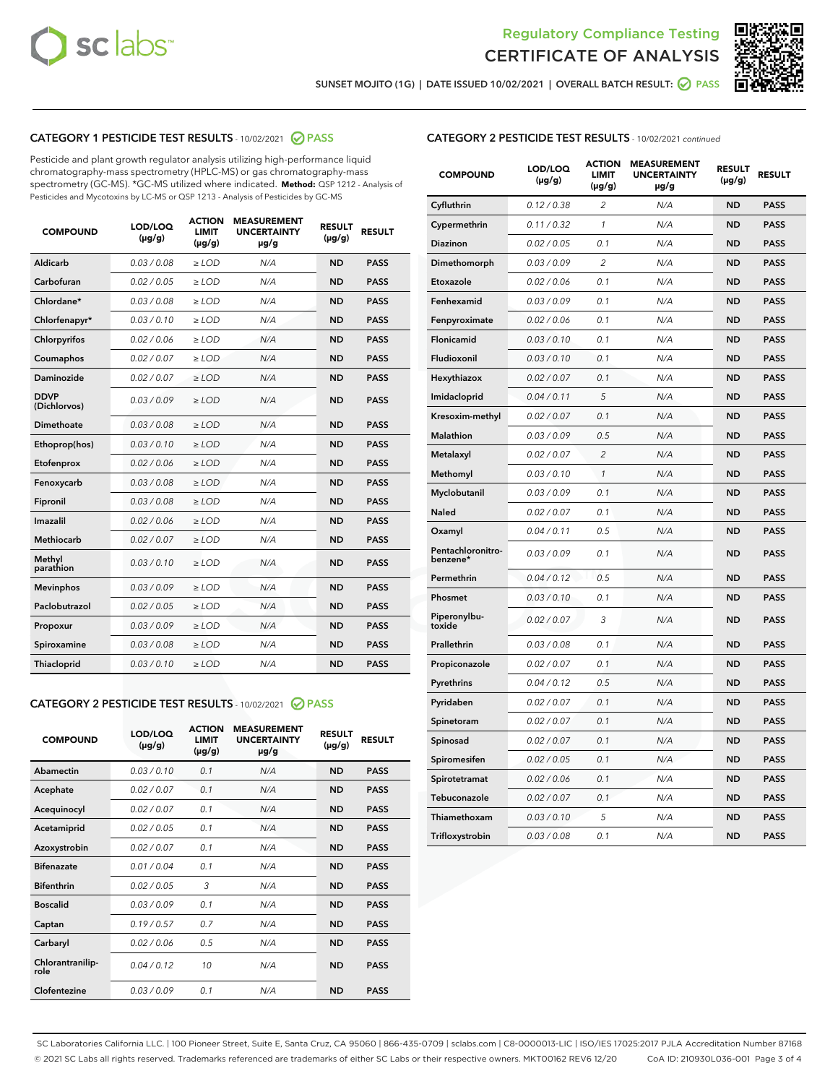



SUNSET MOJITO (1G) | DATE ISSUED 10/02/2021 | OVERALL BATCH RESULT:  $\bigcirc$  PASS

## CATEGORY 1 PESTICIDE TEST RESULTS - 10/02/2021 2 PASS

Pesticide and plant growth regulator analysis utilizing high-performance liquid chromatography-mass spectrometry (HPLC-MS) or gas chromatography-mass spectrometry (GC-MS). \*GC-MS utilized where indicated. **Method:** QSP 1212 - Analysis of Pesticides and Mycotoxins by LC-MS or QSP 1213 - Analysis of Pesticides by GC-MS

| <b>COMPOUND</b>             | LOD/LOQ<br>$(\mu g/g)$ | <b>ACTION</b><br><b>LIMIT</b><br>$(\mu g/g)$ | <b>MEASUREMENT</b><br><b>UNCERTAINTY</b><br>$\mu$ g/g | <b>RESULT</b><br>$(\mu g/g)$ | <b>RESULT</b> |
|-----------------------------|------------------------|----------------------------------------------|-------------------------------------------------------|------------------------------|---------------|
| Aldicarb                    | 0.03 / 0.08            | $\ge$ LOD                                    | N/A                                                   | <b>ND</b>                    | <b>PASS</b>   |
| Carbofuran                  | 0.02/0.05              | $>$ LOD                                      | N/A                                                   | <b>ND</b>                    | <b>PASS</b>   |
| Chlordane*                  | 0.03 / 0.08            | $\geq$ LOD                                   | N/A                                                   | <b>ND</b>                    | <b>PASS</b>   |
| Chlorfenapyr*               | 0.03/0.10              | $\geq$ LOD                                   | N/A                                                   | <b>ND</b>                    | <b>PASS</b>   |
| Chlorpyrifos                | 0.02 / 0.06            | $\ge$ LOD                                    | N/A                                                   | <b>ND</b>                    | <b>PASS</b>   |
| Coumaphos                   | 0.02 / 0.07            | $\ge$ LOD                                    | N/A                                                   | <b>ND</b>                    | <b>PASS</b>   |
| Daminozide                  | 0.02/0.07              | $>$ LOD                                      | N/A                                                   | <b>ND</b>                    | <b>PASS</b>   |
| <b>DDVP</b><br>(Dichlorvos) | 0.03/0.09              | $\ge$ LOD                                    | N/A                                                   | <b>ND</b>                    | <b>PASS</b>   |
| Dimethoate                  | 0.03 / 0.08            | $\ge$ LOD                                    | N/A                                                   | <b>ND</b>                    | <b>PASS</b>   |
| Ethoprop(hos)               | 0.03/0.10              | $>$ LOD                                      | N/A                                                   | <b>ND</b>                    | <b>PASS</b>   |
| Etofenprox                  | 0.02 / 0.06            | $\ge$ LOD                                    | N/A                                                   | <b>ND</b>                    | <b>PASS</b>   |
| Fenoxycarb                  | 0.03 / 0.08            | $\ge$ LOD                                    | N/A                                                   | <b>ND</b>                    | <b>PASS</b>   |
| Fipronil                    | 0.03/0.08              | $\ge$ LOD                                    | N/A                                                   | <b>ND</b>                    | <b>PASS</b>   |
| Imazalil                    | 0.02 / 0.06            | $\ge$ LOD                                    | N/A                                                   | <b>ND</b>                    | <b>PASS</b>   |
| <b>Methiocarb</b>           | 0.02 / 0.07            | $\ge$ LOD                                    | N/A                                                   | <b>ND</b>                    | <b>PASS</b>   |
| Methyl<br>parathion         | 0.03/0.10              | $\ge$ LOD                                    | N/A                                                   | <b>ND</b>                    | <b>PASS</b>   |
| <b>Mevinphos</b>            | 0.03/0.09              | $>$ LOD                                      | N/A                                                   | <b>ND</b>                    | <b>PASS</b>   |
| Paclobutrazol               | 0.02 / 0.05            | $\ge$ LOD                                    | N/A                                                   | <b>ND</b>                    | <b>PASS</b>   |
| Propoxur                    | 0.03/0.09              | $\ge$ LOD                                    | N/A                                                   | <b>ND</b>                    | <b>PASS</b>   |
| Spiroxamine                 | 0.03 / 0.08            | $\ge$ LOD                                    | N/A                                                   | <b>ND</b>                    | <b>PASS</b>   |
| Thiacloprid                 | 0.03/0.10              | $\ge$ LOD                                    | N/A                                                   | <b>ND</b>                    | <b>PASS</b>   |

#### CATEGORY 2 PESTICIDE TEST RESULTS - 10/02/2021 @ PASS

| <b>COMPOUND</b>          | LOD/LOO<br>$(\mu g/g)$ | <b>ACTION</b><br>LIMIT<br>$(\mu g/g)$ | <b>MEASUREMENT</b><br><b>UNCERTAINTY</b><br>$\mu$ g/g | <b>RESULT</b><br>$(\mu g/g)$ | <b>RESULT</b> |  |
|--------------------------|------------------------|---------------------------------------|-------------------------------------------------------|------------------------------|---------------|--|
| Abamectin                | 0.03/0.10              | 0.1                                   | N/A                                                   | <b>ND</b>                    | <b>PASS</b>   |  |
| Acephate                 | 0.02/0.07              | 0.1                                   | N/A                                                   | <b>ND</b>                    | <b>PASS</b>   |  |
| Acequinocyl              | 0.02/0.07              | 0.1                                   | N/A                                                   | <b>ND</b>                    | <b>PASS</b>   |  |
| Acetamiprid              | 0.02/0.05              | 0.1                                   | N/A                                                   | <b>ND</b>                    | <b>PASS</b>   |  |
| Azoxystrobin             | 0.02/0.07              | 0.1                                   | N/A                                                   | <b>ND</b>                    | <b>PASS</b>   |  |
| <b>Bifenazate</b>        | 0.01 / 0.04            | 0.1                                   | N/A                                                   | <b>ND</b>                    | <b>PASS</b>   |  |
| <b>Bifenthrin</b>        | 0.02/0.05              | 3                                     | N/A                                                   | <b>ND</b>                    | <b>PASS</b>   |  |
| <b>Boscalid</b>          | 0.03/0.09              | 0.1                                   | N/A                                                   | <b>ND</b>                    | <b>PASS</b>   |  |
| Captan                   | 0.19/0.57              | 0.7                                   | N/A                                                   | <b>ND</b>                    | <b>PASS</b>   |  |
| Carbaryl                 | 0.02/0.06              | 0.5                                   | N/A                                                   | <b>ND</b>                    | <b>PASS</b>   |  |
| Chlorantranilip-<br>role | 0.04/0.12              | 10                                    | N/A                                                   | <b>ND</b>                    | <b>PASS</b>   |  |
| Clofentezine             | 0.03/0.09              | 0.1                                   | N/A                                                   | <b>ND</b>                    | <b>PASS</b>   |  |

| <b>COMPOUND</b>               | LOD/LOQ<br>$(\mu g/g)$ | <b>ACTION</b><br>LIMIT<br>(µg/g) | <b>MEASUREMENT</b><br><b>UNCERTAINTY</b><br>µg/g | <b>RESULT</b><br>$(\mu g/g)$ | <b>RESULT</b> |
|-------------------------------|------------------------|----------------------------------|--------------------------------------------------|------------------------------|---------------|
| Cyfluthrin                    | 0.12 / 0.38            | $\overline{c}$                   | N/A                                              | <b>ND</b>                    | <b>PASS</b>   |
| Cypermethrin                  | 0.11 / 0.32            | 1                                | N/A                                              | <b>ND</b>                    | <b>PASS</b>   |
| Diazinon                      | 0.02 / 0.05            | 0.1                              | N/A                                              | <b>ND</b>                    | <b>PASS</b>   |
| Dimethomorph                  | 0.03 / 0.09            | $\overline{2}$                   | N/A                                              | ND                           | <b>PASS</b>   |
| Etoxazole                     | 0.02 / 0.06            | 0.1                              | N/A                                              | <b>ND</b>                    | <b>PASS</b>   |
| Fenhexamid                    | 0.03 / 0.09            | 0.1                              | N/A                                              | ND                           | <b>PASS</b>   |
| Fenpyroximate                 | 0.02 / 0.06            | 0.1                              | N/A                                              | <b>ND</b>                    | <b>PASS</b>   |
| Flonicamid                    | 0.03 / 0.10            | 0.1                              | N/A                                              | ND                           | <b>PASS</b>   |
| Fludioxonil                   | 0.03 / 0.10            | 0.1                              | N/A                                              | <b>ND</b>                    | <b>PASS</b>   |
| Hexythiazox                   | 0.02 / 0.07            | 0.1                              | N/A                                              | <b>ND</b>                    | <b>PASS</b>   |
| Imidacloprid                  | 0.04 / 0.11            | 5                                | N/A                                              | ND                           | <b>PASS</b>   |
| Kresoxim-methyl               | 0.02 / 0.07            | 0.1                              | N/A                                              | ND                           | <b>PASS</b>   |
| Malathion                     | 0.03 / 0.09            | 0.5                              | N/A                                              | <b>ND</b>                    | <b>PASS</b>   |
| Metalaxyl                     | 0.02 / 0.07            | $\overline{c}$                   | N/A                                              | ND                           | <b>PASS</b>   |
| Methomyl                      | 0.03 / 0.10            | 1                                | N/A                                              | ND                           | <b>PASS</b>   |
| Myclobutanil                  | 0.03 / 0.09            | 0.1                              | N/A                                              | <b>ND</b>                    | <b>PASS</b>   |
| Naled                         | 0.02 / 0.07            | 0.1                              | N/A                                              | ND                           | <b>PASS</b>   |
| Oxamyl                        | 0.04 / 0.11            | 0.5                              | N/A                                              | ND                           | <b>PASS</b>   |
| Pentachloronitro-<br>benzene* | 0.03 / 0.09            | 0.1                              | N/A                                              | ND                           | <b>PASS</b>   |
| Permethrin                    | 0.04/0.12              | 0.5                              | N/A                                              | <b>ND</b>                    | <b>PASS</b>   |
| Phosmet                       | 0.03 / 0.10            | 0.1                              | N/A                                              | ND                           | <b>PASS</b>   |
| Piperonylbu-<br>toxide        | 0.02 / 0.07            | 3                                | N/A                                              | <b>ND</b>                    | <b>PASS</b>   |
| Prallethrin                   | 0.03 / 0.08            | 0.1                              | N/A                                              | <b>ND</b>                    | <b>PASS</b>   |
| Propiconazole                 | 0.02 / 0.07            | 0.1                              | N/A                                              | ND                           | <b>PASS</b>   |
| Pyrethrins                    | 0.04 / 0.12            | 0.5                              | N/A                                              | ND                           | <b>PASS</b>   |
| Pyridaben                     | 0.02 / 0.07            | 0.1                              | N/A                                              | ND                           | <b>PASS</b>   |
| Spinetoram                    | 0.02 / 0.07            | 0.1                              | N/A                                              | <b>ND</b>                    | <b>PASS</b>   |
| Spinosad                      | 0.02 / 0.07            | 0.1                              | N/A                                              | <b>ND</b>                    | <b>PASS</b>   |
| Spiromesifen                  | 0.02 / 0.05            | 0.1                              | N/A                                              | <b>ND</b>                    | <b>PASS</b>   |
| Spirotetramat                 | 0.02 / 0.06            | 0.1                              | N/A                                              | ND                           | <b>PASS</b>   |
| Tebuconazole                  | 0.02 / 0.07            | 0.1                              | N/A                                              | ND                           | <b>PASS</b>   |
| Thiamethoxam                  | 0.03 / 0.10            | 5                                | N/A                                              | ND                           | <b>PASS</b>   |
| Trifloxystrobin               | 0.03 / 0.08            | 0.1                              | N/A                                              | ND                           | <b>PASS</b>   |

SC Laboratories California LLC. | 100 Pioneer Street, Suite E, Santa Cruz, CA 95060 | 866-435-0709 | sclabs.com | C8-0000013-LIC | ISO/IES 17025:2017 PJLA Accreditation Number 87168 © 2021 SC Labs all rights reserved. Trademarks referenced are trademarks of either SC Labs or their respective owners. MKT00162 REV6 12/20 CoA ID: 210930L036-001 Page 3 of 4